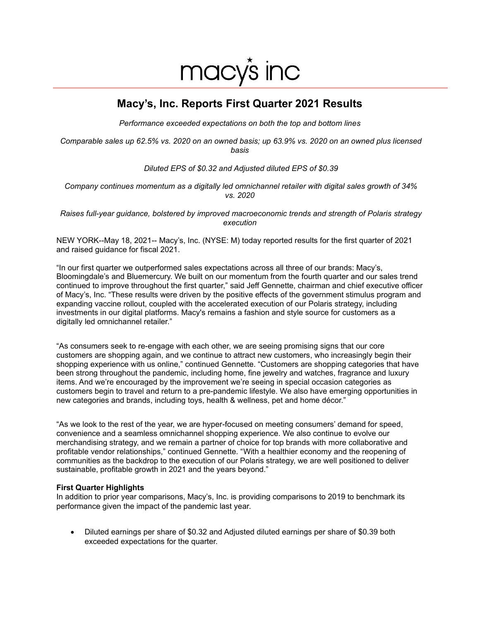# macy's inc

## **Macy's, Inc. Reports First Quarter 2021 Results**

*Performance exceeded expectations on both the top and bottom lines*

*Comparable sales up 62.5% vs. 2020 on an owned basis; up 63.9% vs. 2020 on an owned plus licensed basis*

*Diluted EPS of \$0.32 and Adjusted diluted EPS of \$0.39*

*Company continues momentum as a digitally led omnichannel retailer with digital sales growth of 34% vs. 2020*

*Raises full-year guidance, bolstered by improved macroeconomic trends and strength of Polaris strategy execution* 

NEW YORK--May 18, 2021-- Macy's, Inc. (NYSE: M) today reported results for the first quarter of 2021 and raised guidance for fiscal 2021.

"In our first quarter we outperformed sales expectations across all three of our brands: Macy's, Bloomingdale's and Bluemercury. We built on our momentum from the fourth quarter and our sales trend continued to improve throughout the first quarter," said Jeff Gennette, chairman and chief executive officer of Macy's, Inc. "These results were driven by the positive effects of the government stimulus program and expanding vaccine rollout, coupled with the accelerated execution of our Polaris strategy, including investments in our digital platforms. Macy's remains a fashion and style source for customers as a digitally led omnichannel retailer."

"As consumers seek to re-engage with each other, we are seeing promising signs that our core customers are shopping again, and we continue to attract new customers, who increasingly begin their shopping experience with us online," continued Gennette. "Customers are shopping categories that have been strong throughout the pandemic, including home, fine jewelry and watches, fragrance and luxury items. And we're encouraged by the improvement we're seeing in special occasion categories as customers begin to travel and return to a pre-pandemic lifestyle. We also have emerging opportunities in new categories and brands, including toys, health & wellness, pet and home décor."

"As we look to the rest of the year, we are hyper-focused on meeting consumers' demand for speed, convenience and a seamless omnichannel shopping experience. We also continue to evolve our merchandising strategy, and we remain a partner of choice for top brands with more collaborative and profitable vendor relationships," continued Gennette. "With a healthier economy and the reopening of communities as the backdrop to the execution of our Polaris strategy, we are well positioned to deliver sustainable, profitable growth in 2021 and the years beyond."

#### **First Quarter Highlights**

In addition to prior year comparisons, Macy's, Inc. is providing comparisons to 2019 to benchmark its performance given the impact of the pandemic last year.

• Diluted earnings per share of \$0.32 and Adjusted diluted earnings per share of \$0.39 both exceeded expectations for the quarter.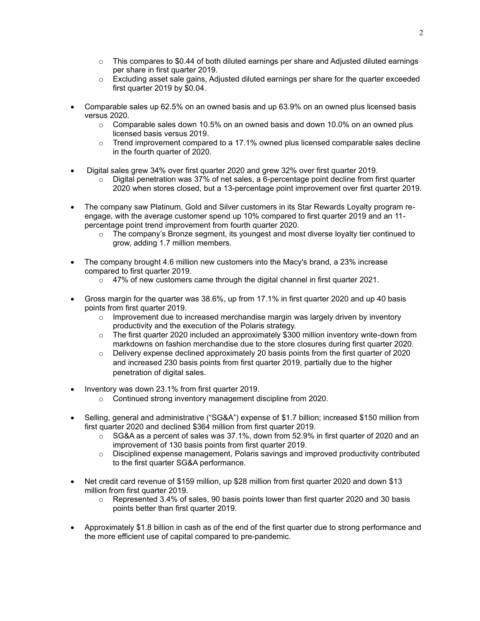- $\circ$  This compares to \$0.44 of both diluted earnings per share and Adjusted diluted earnings per share in first quarter 2019.
- $\circ$  Excluding asset sale gains, Adjusted diluted earnings per share for the quarter exceeded first quarter 2019 by \$0.04.
- Comparable sales up 62.5% on an owned basis and up 63.9% on an owned plus licensed basis versus 2020.
	- $\circ$  Comparable sales down 10.5% on an owned basis and down 10.0% on an owned plus licensed basis versus 2019.
	- $\circ$  Trend improvement compared to a 17.1% owned plus licensed comparable sales decline in the fourth quarter of 2020.
- Digital sales grew 34% over first quarter 2020 and grew 32% over first quarter 2019.
	- $\circ$  Digital penetration was 37% of net sales, a 6-percentage point decline from first quarter 2020 when stores closed, but a 13-percentage point improvement over first quarter 2019.
- The company saw Platinum, Gold and Silver customers in its Star Rewards Loyalty program reengage, with the average customer spend up 10% compared to first quarter 2019 and an 11 percentage point trend improvement from fourth quarter 2020.
	- $\circ$  The company's Bronze segment, its youngest and most diverse loyalty tier continued to grow, adding 1.7 million members.
- The company brought 4.6 million new customers into the Macy's brand, a 23% increase compared to first quarter 2019.
	- o 47% of new customers came through the digital channel in first quarter 2021.
- Gross margin for the quarter was 38.6%, up from 17.1% in first quarter 2020 and up 40 basis points from first quarter 2019.
	- $\circ$  Improvement due to increased merchandise margin was largely driven by inventory productivity and the execution of the Polaris strategy.
	- $\circ$  The first quarter 2020 included an approximately \$300 million inventory write-down from markdowns on fashion merchandise due to the store closures during first quarter 2020.
	- o Delivery expense declined approximately 20 basis points from the first quarter of 2020 and increased 230 basis points from first quarter 2019, partially due to the higher penetration of digital sales.
- Inventory was down 23.1% from first quarter 2019.
	- o Continued strong inventory management discipline from 2020.
- Selling, general and administrative ("SG&A") expense of \$1.7 billion; increased \$150 million from first quarter 2020 and declined \$364 million from first quarter 2019.
	- $\circ$  SG&A as a percent of sales was 37.1%, down from 52.9% in first quarter of 2020 and an improvement of 130 basis points from first quarter 2019.
	- $\circ$  Disciplined expense management, Polaris savings and improved productivity contributed to the first quarter SG&A performance.
- Net credit card revenue of \$159 million, up \$28 million from first quarter 2020 and down \$13 million from first quarter 2019.
	- $\circ$  Represented 3.4% of sales, 90 basis points lower than first quarter 2020 and 30 basis points better than first quarter 2019.
- Approximately \$1.8 billion in cash as of the end of the first quarter due to strong performance and the more efficient use of capital compared to pre-pandemic.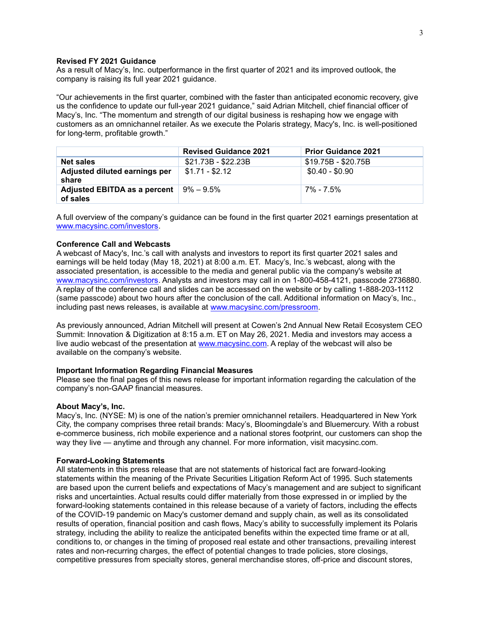#### **Revised FY 2021 Guidance**

As a result of Macy's, Inc. outperformance in the first quarter of 2021 and its improved outlook, the company is raising its full year 2021 guidance.

"Our achievements in the first quarter, combined with the faster than anticipated economic recovery, give us the confidence to update our full-year 2021 guidance," said Adrian Mitchell, chief financial officer of Macy's, Inc. "The momentum and strength of our digital business is reshaping how we engage with customers as an omnichannel retailer. As we execute the Polaris strategy, Macy's, Inc. is well-positioned for long-term, profitable growth."

|                                          | <b>Revised Guidance 2021</b> | <b>Prior Guidance 2021</b> |
|------------------------------------------|------------------------------|----------------------------|
| <b>Net sales</b>                         | \$21.73B - \$22.23B          | \$19.75B - \$20.75B        |
| Adjusted diluted earnings per<br>share   | $$1.71 - $2.12$              | $$0.40 - $0.90$            |
| Adjusted EBITDA as a percent<br>of sales | $9\% - 9.5\%$                | 7% - 7.5%                  |

A full overview of the company's guidance can be found in the first quarter 2021 earnings presentation at www.macysinc.com/investors.

#### **Conference Call and Webcasts**

A webcast of Macy's, Inc.'s call with analysts and investors to report its first quarter 2021 sales and earnings will be held today (May 18, 2021) at 8:00 a.m. ET. Macy's, Inc.'s webcast, along with the associated presentation, is accessible to the media and general public via the company's website at www.macysinc.com/investors. Analysts and investors may call in on 1-800-458-4121, passcode 2736880. A replay of the conference call and slides can be accessed on the website or by calling 1-888-203-1112 (same passcode) about two hours after the conclusion of the call. Additional information on Macy's, Inc., including past news releases, is available at www.macysinc.com/pressroom.

As previously announced, Adrian Mitchell will present at Cowen's 2nd Annual New Retail Ecosystem CEO Summit: Innovation & Digitization at 8:15 a.m. ET on May 26, 2021. Media and investors may access a live audio webcast of the presentation at www.macysinc.com. A replay of the webcast will also be available on the company's website.

#### **Important Information Regarding Financial Measures**

Please see the final pages of this news release for important information regarding the calculation of the company's non-GAAP financial measures.

#### **About Macy's, Inc.**

Macy's, Inc. (NYSE: M) is one of the nation's premier omnichannel retailers. Headquartered in New York City, the company comprises three retail brands: Macy's, Bloomingdale's and Bluemercury. With a robust e-commerce business, rich mobile experience and a national stores footprint, our customers can shop the way they live — anytime and through any channel. For more information, visit macysinc.com.

#### **Forward-Looking Statements**

All statements in this press release that are not statements of historical fact are forward-looking statements within the meaning of the Private Securities Litigation Reform Act of 1995. Such statements are based upon the current beliefs and expectations of Macy's management and are subject to significant risks and uncertainties. Actual results could differ materially from those expressed in or implied by the forward-looking statements contained in this release because of a variety of factors, including the effects of the COVID-19 pandemic on Macy's customer demand and supply chain, as well as its consolidated results of operation, financial position and cash flows, Macy's ability to successfully implement its Polaris strategy, including the ability to realize the anticipated benefits within the expected time frame or at all, conditions to, or changes in the timing of proposed real estate and other transactions, prevailing interest rates and non-recurring charges, the effect of potential changes to trade policies, store closings, competitive pressures from specialty stores, general merchandise stores, off-price and discount stores,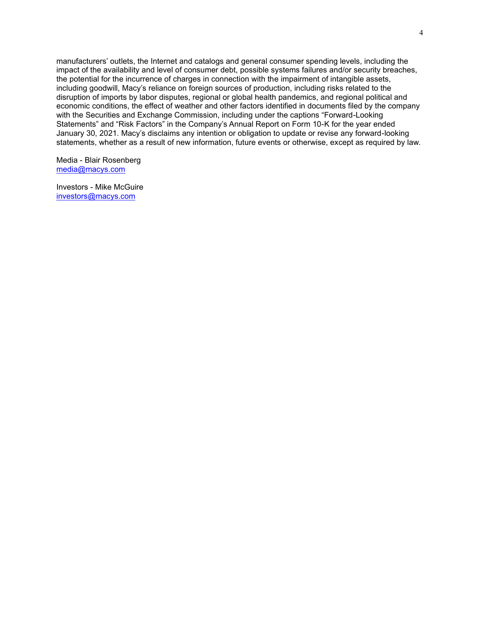manufacturers' outlets, the Internet and catalogs and general consumer spending levels, including the impact of the availability and level of consumer debt, possible systems failures and/or security breaches, the potential for the incurrence of charges in connection with the impairment of intangible assets, including goodwill, Macy's reliance on foreign sources of production, including risks related to the disruption of imports by labor disputes, regional or global health pandemics, and regional political and economic conditions, the effect of weather and other factors identified in documents filed by the company with the Securities and Exchange Commission, including under the captions "Forward-Looking Statements" and "Risk Factors" in the Company's Annual Report on Form 10-K for the year ended January 30, 2021. Macy's disclaims any intention or obligation to update or revise any forward-looking statements, whether as a result of new information, future events or otherwise, except as required by law.

Media - Blair Rosenberg [media@macys.com](mailto:media@macys.com)

Investors - Mike McGuire [investors@macys.com](mailto:investors@macys.com)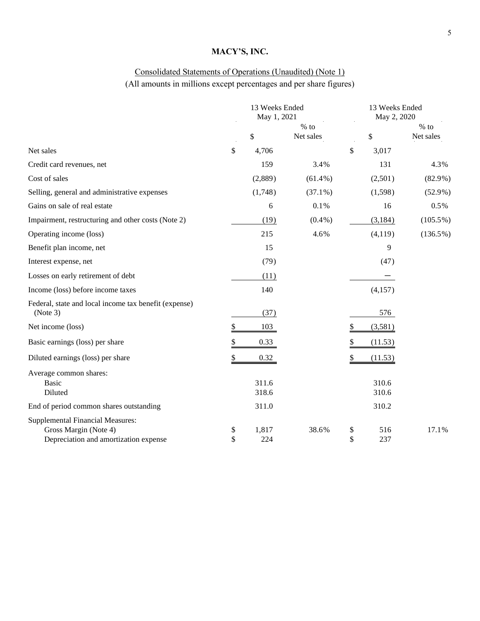#### Consolidated Statements of Operations (Unaudited) (Note 1)

## (All amounts in millions except percentages and per share figures)

|                                                                   | 13 Weeks Ended<br>May 1, 2021 |            | 13 Weeks Ended<br>May 2, 2020 |             |  |  |
|-------------------------------------------------------------------|-------------------------------|------------|-------------------------------|-------------|--|--|
|                                                                   |                               | $%$ to     |                               | $%$ to      |  |  |
|                                                                   | \$                            | Net sales  | \$                            | Net sales   |  |  |
| Net sales                                                         | \$<br>4,706                   |            | \$<br>3,017                   |             |  |  |
| Credit card revenues, net                                         | 159                           | 3.4%       | 131                           | 4.3%        |  |  |
| Cost of sales                                                     | (2,889)                       | $(61.4\%)$ | (2,501)                       | $(82.9\%)$  |  |  |
| Selling, general and administrative expenses                      | (1,748)                       | $(37.1\%)$ | (1,598)                       | $(52.9\%)$  |  |  |
| Gains on sale of real estate                                      | 6                             | 0.1%       | 16                            | $0.5\%$     |  |  |
| Impairment, restructuring and other costs (Note 2)                | (19)                          | $(0.4\%)$  | (3, 184)                      | $(105.5\%)$ |  |  |
| Operating income (loss)                                           | 215                           | 4.6%       | (4,119)                       | $(136.5\%)$ |  |  |
| Benefit plan income, net                                          | 15                            |            | 9                             |             |  |  |
| Interest expense, net                                             | (79)                          |            | (47)                          |             |  |  |
| Losses on early retirement of debt                                | (11)                          |            |                               |             |  |  |
| Income (loss) before income taxes                                 | 140                           |            | (4,157)                       |             |  |  |
| Federal, state and local income tax benefit (expense)<br>(Note 3) | (37)                          |            | 576                           |             |  |  |
| Net income (loss)                                                 | \$<br>103                     |            | \$<br>(3,581)                 |             |  |  |
| Basic earnings (loss) per share                                   | \$<br>0.33                    |            | \$<br>(11.53)                 |             |  |  |
| Diluted earnings (loss) per share                                 | \$<br>0.32                    |            | \$<br>(11.53)                 |             |  |  |
| Average common shares:                                            |                               |            |                               |             |  |  |
| <b>Basic</b><br>Diluted                                           | 311.6<br>318.6                |            | 310.6<br>310.6                |             |  |  |
| End of period common shares outstanding                           | 311.0                         |            | 310.2                         |             |  |  |
| <b>Supplemental Financial Measures:</b>                           |                               |            |                               |             |  |  |
| Gross Margin (Note 4)                                             | \$<br>1,817                   | 38.6%      | \$<br>516                     | 17.1%       |  |  |
| Depreciation and amortization expense                             | \$<br>224                     |            | \$<br>237                     |             |  |  |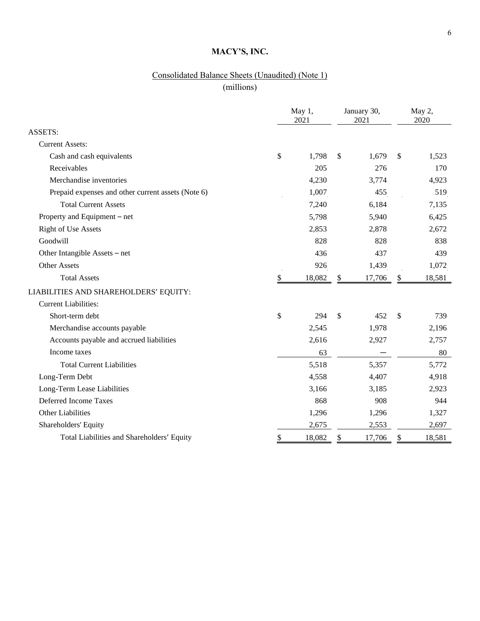## Consolidated Balance Sheets (Unaudited) (Note 1)

(millions)

|                                                    | May 1,<br>2021 | January 30,<br>2021 | May 2,<br>2020 |
|----------------------------------------------------|----------------|---------------------|----------------|
| ASSETS:                                            |                |                     |                |
| <b>Current Assets:</b>                             |                |                     |                |
| Cash and cash equivalents                          | \$<br>1,798    | \$<br>1,679         | \$<br>1,523    |
| Receivables                                        | 205            | 276                 | 170            |
| Merchandise inventories                            | 4,230          | 3,774               | 4,923          |
| Prepaid expenses and other current assets (Note 6) | 1,007          | 455                 | 519            |
| <b>Total Current Assets</b>                        | 7,240          | 6,184               | 7,135          |
| Property and Equipment – net                       | 5,798          | 5,940               | 6,425          |
| <b>Right of Use Assets</b>                         | 2,853          | 2,878               | 2,672          |
| Goodwill                                           | 828            | 828                 | 838            |
| Other Intangible Assets - net                      | 436            | 437                 | 439            |
| <b>Other Assets</b>                                | 926            | 1,439               | 1,072          |
| <b>Total Assets</b>                                | \$<br>18,082   | \$<br>17,706        | \$<br>18,581   |
| LIABILITIES AND SHAREHOLDERS' EQUITY:              |                |                     |                |
| <b>Current Liabilities:</b>                        |                |                     |                |
| Short-term debt                                    | \$<br>294      | \$<br>452           | \$<br>739      |
| Merchandise accounts payable                       | 2,545          | 1,978               | 2,196          |
| Accounts payable and accrued liabilities           | 2,616          | 2,927               | 2,757          |
| Income taxes                                       | 63             |                     | 80             |
| <b>Total Current Liabilities</b>                   | 5,518          | 5,357               | 5,772          |
| Long-Term Debt                                     | 4,558          | 4,407               | 4,918          |
| Long-Term Lease Liabilities                        | 3,166          | 3,185               | 2,923          |
| Deferred Income Taxes                              | 868            | 908                 | 944            |
| Other Liabilities                                  | 1,296          | 1,296               | 1,327          |
| Shareholders' Equity                               | 2,675          | 2,553               | 2,697          |
| Total Liabilities and Shareholders' Equity         | \$<br>18,082   | \$<br>17,706        | \$<br>18,581   |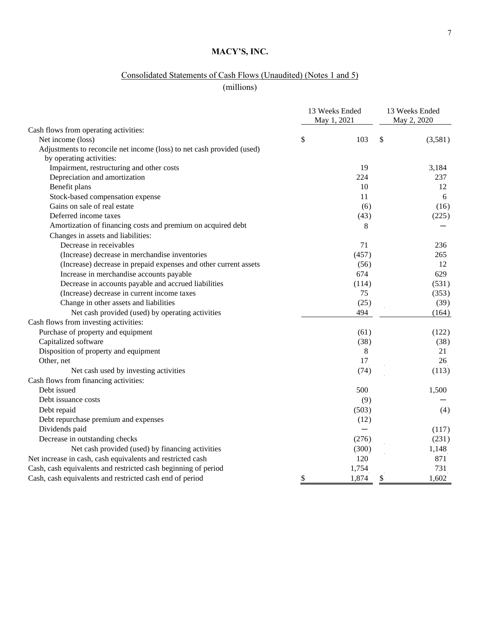## Consolidated Statements of Cash Flows (Unaudited) (Notes 1 and 5)

(millions)

|                                                                        | 13 Weeks Ended<br>May 1, 2021 | 13 Weeks Ended<br>May 2, 2020 |         |  |
|------------------------------------------------------------------------|-------------------------------|-------------------------------|---------|--|
| Cash flows from operating activities:                                  |                               |                               |         |  |
| Net income (loss)                                                      | \$<br>103                     | \$                            | (3,581) |  |
| Adjustments to reconcile net income (loss) to net cash provided (used) |                               |                               |         |  |
| by operating activities:                                               |                               |                               |         |  |
| Impairment, restructuring and other costs                              | 19                            |                               | 3,184   |  |
| Depreciation and amortization                                          | 224                           |                               | 237     |  |
| Benefit plans                                                          | 10                            |                               | 12      |  |
| Stock-based compensation expense                                       | 11                            |                               | 6       |  |
| Gains on sale of real estate                                           | (6)                           |                               | (16)    |  |
| Deferred income taxes                                                  | (43)                          |                               | (225)   |  |
| Amortization of financing costs and premium on acquired debt           | 8                             |                               |         |  |
| Changes in assets and liabilities:                                     |                               |                               |         |  |
| Decrease in receivables                                                | 71                            |                               | 236     |  |
| (Increase) decrease in merchandise inventories                         | (457)                         |                               | 265     |  |
| (Increase) decrease in prepaid expenses and other current assets       | (56)                          |                               | 12      |  |
| Increase in merchandise accounts payable                               | 674                           |                               | 629     |  |
| Decrease in accounts payable and accrued liabilities                   | (114)                         |                               | (531)   |  |
| (Increase) decrease in current income taxes                            | 75                            |                               | (353)   |  |
| Change in other assets and liabilities                                 | (25)                          |                               | (39)    |  |
| Net cash provided (used) by operating activities                       | 494                           |                               | (164)   |  |
| Cash flows from investing activities:                                  |                               |                               |         |  |
| Purchase of property and equipment                                     | (61)                          |                               | (122)   |  |
| Capitalized software                                                   | (38)                          |                               | (38)    |  |
| Disposition of property and equipment                                  | 8                             |                               | 21      |  |
| Other, net                                                             | 17                            |                               | 26      |  |
| Net cash used by investing activities                                  | (74)                          |                               | (113)   |  |
| Cash flows from financing activities:                                  |                               |                               |         |  |
| Debt issued                                                            | 500                           |                               | 1,500   |  |
| Debt issuance costs                                                    | (9)                           |                               |         |  |
| Debt repaid                                                            | (503)                         |                               | (4)     |  |
| Debt repurchase premium and expenses                                   | (12)                          |                               |         |  |
| Dividends paid                                                         | $\overline{\phantom{0}}$      |                               | (117)   |  |
| Decrease in outstanding checks                                         | (276)                         |                               | (231)   |  |
| Net cash provided (used) by financing activities                       | (300)                         |                               | 1,148   |  |
| Net increase in cash, cash equivalents and restricted cash             | 120                           |                               | 871     |  |
| Cash, cash equivalents and restricted cash beginning of period         | 1,754                         |                               | 731     |  |
| Cash, cash equivalents and restricted cash end of period               | \$<br>1,874                   | \$                            | 1,602   |  |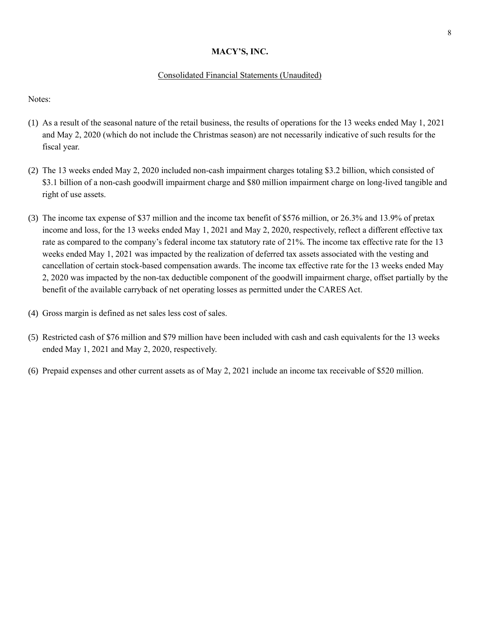#### Consolidated Financial Statements (Unaudited)

Notes:

- (1) As a result of the seasonal nature of the retail business, the results of operations for the 13 weeks ended May 1, 2021 and May 2, 2020 (which do not include the Christmas season) are not necessarily indicative of such results for the fiscal year.
- (2) The 13 weeks ended May 2, 2020 included non-cash impairment charges totaling \$3.2 billion, which consisted of \$3.1 billion of a non-cash goodwill impairment charge and \$80 million impairment charge on long-lived tangible and right of use assets.
- (3) The income tax expense of \$37 million and the income tax benefit of \$576 million, or 26.3% and 13.9% of pretax income and loss, for the 13 weeks ended May 1, 2021 and May 2, 2020, respectively, reflect a different effective tax rate as compared to the company's federal income tax statutory rate of 21%. The income tax effective rate for the 13 weeks ended May 1, 2021 was impacted by the realization of deferred tax assets associated with the vesting and cancellation of certain stock-based compensation awards. The income tax effective rate for the 13 weeks ended May 2, 2020 was impacted by the non-tax deductible component of the goodwill impairment charge, offset partially by the benefit of the available carryback of net operating losses as permitted under the CARES Act.
- (4) Gross margin is defined as net sales less cost of sales.
- (5) Restricted cash of \$76 million and \$79 million have been included with cash and cash equivalents for the 13 weeks ended May 1, 2021 and May 2, 2020, respectively.
- (6) Prepaid expenses and other current assets as of May 2, 2021 include an income tax receivable of \$520 million.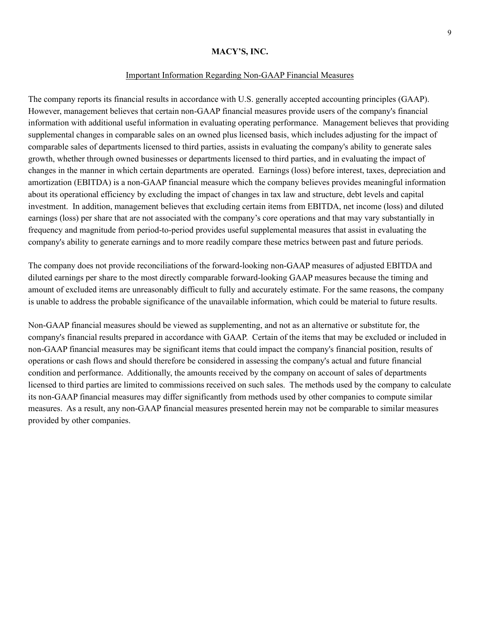#### Important Information Regarding Non-GAAP Financial Measures

The company reports its financial results in accordance with U.S. generally accepted accounting principles (GAAP). However, management believes that certain non-GAAP financial measures provide users of the company's financial information with additional useful information in evaluating operating performance. Management believes that providing supplemental changes in comparable sales on an owned plus licensed basis, which includes adjusting for the impact of comparable sales of departments licensed to third parties, assists in evaluating the company's ability to generate sales growth, whether through owned businesses or departments licensed to third parties, and in evaluating the impact of changes in the manner in which certain departments are operated. Earnings (loss) before interest, taxes, depreciation and amortization (EBITDA) is a non-GAAP financial measure which the company believes provides meaningful information about its operational efficiency by excluding the impact of changes in tax law and structure, debt levels and capital investment. In addition, management believes that excluding certain items from EBITDA, net income (loss) and diluted earnings (loss) per share that are not associated with the company's core operations and that may vary substantially in frequency and magnitude from period-to-period provides useful supplemental measures that assist in evaluating the company's ability to generate earnings and to more readily compare these metrics between past and future periods.

The company does not provide reconciliations of the forward-looking non-GAAP measures of adjusted EBITDA and diluted earnings per share to the most directly comparable forward-looking GAAP measures because the timing and amount of excluded items are unreasonably difficult to fully and accurately estimate. For the same reasons, the company is unable to address the probable significance of the unavailable information, which could be material to future results.

Non-GAAP financial measures should be viewed as supplementing, and not as an alternative or substitute for, the company's financial results prepared in accordance with GAAP. Certain of the items that may be excluded or included in non-GAAP financial measures may be significant items that could impact the company's financial position, results of operations or cash flows and should therefore be considered in assessing the company's actual and future financial condition and performance. Additionally, the amounts received by the company on account of sales of departments licensed to third parties are limited to commissions received on such sales. The methods used by the company to calculate its non-GAAP financial measures may differ significantly from methods used by other companies to compute similar measures. As a result, any non-GAAP financial measures presented herein may not be comparable to similar measures provided by other companies.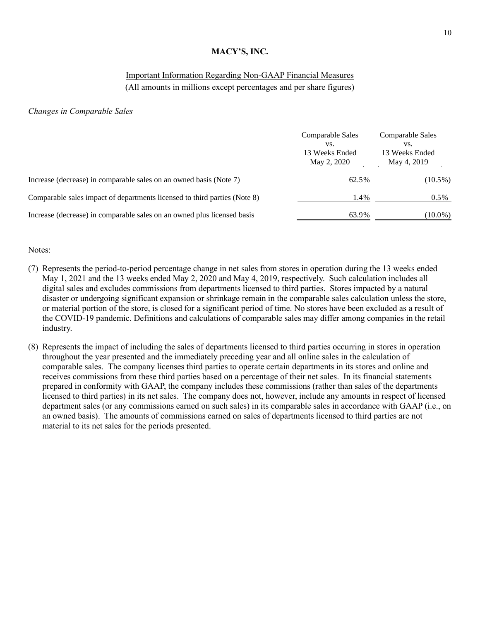## Important Information Regarding Non-GAAP Financial Measures

(All amounts in millions except percentages and per share figures)

#### *Changes in Comparable Sales*

|                                                                           | Comparable Sales<br>VS.<br>13 Weeks Ended<br>May 2, 2020 | Comparable Sales<br>VS.<br>13 Weeks Ended<br>May 4, 2019 |
|---------------------------------------------------------------------------|----------------------------------------------------------|----------------------------------------------------------|
| Increase (decrease) in comparable sales on an owned basis (Note 7)        | 62.5%                                                    | $(10.5\%)$                                               |
| Comparable sales impact of departments licensed to third parties (Note 8) | 1.4%                                                     | $0.5\%$                                                  |
| Increase (decrease) in comparable sales on an owned plus licensed basis   | 63.9%                                                    | $(10.0\%)$                                               |

Notes:

- (7) Represents the period-to-period percentage change in net sales from stores in operation during the 13 weeks ended May 1, 2021 and the 13 weeks ended May 2, 2020 and May 4, 2019, respectively. Such calculation includes all digital sales and excludes commissions from departments licensed to third parties. Stores impacted by a natural disaster or undergoing significant expansion or shrinkage remain in the comparable sales calculation unless the store, or material portion of the store, is closed for a significant period of time. No stores have been excluded as a result of the COVID-19 pandemic. Definitions and calculations of comparable sales may differ among companies in the retail industry.
- (8) Represents the impact of including the sales of departments licensed to third parties occurring in stores in operation throughout the year presented and the immediately preceding year and all online sales in the calculation of comparable sales. The company licenses third parties to operate certain departments in its stores and online and receives commissions from these third parties based on a percentage of their net sales. In its financial statements prepared in conformity with GAAP, the company includes these commissions (rather than sales of the departments licensed to third parties) in its net sales. The company does not, however, include any amounts in respect of licensed department sales (or any commissions earned on such sales) in its comparable sales in accordance with GAAP (i.e., on an owned basis). The amounts of commissions earned on sales of departments licensed to third parties are not material to its net sales for the periods presented.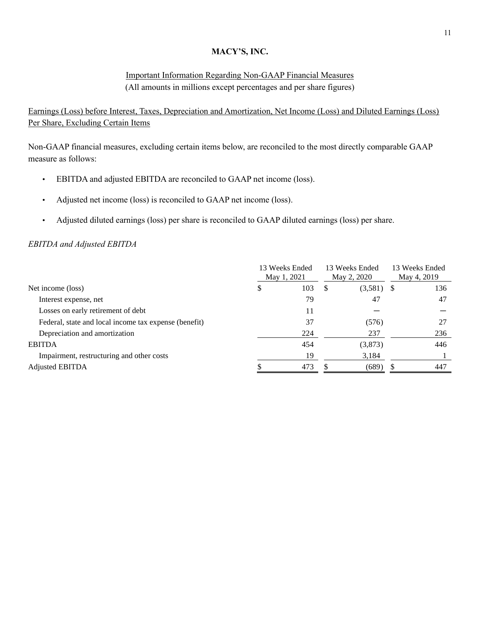#### Important Information Regarding Non-GAAP Financial Measures (All amounts in millions except percentages and per share figures)

Earnings (Loss) before Interest, Taxes, Depreciation and Amortization, Net Income (Loss) and Diluted Earnings (Loss) Per Share, Excluding Certain Items

Non-GAAP financial measures, excluding certain items below, are reconciled to the most directly comparable GAAP measure as follows:

- EBITDA and adjusted EBITDA are reconciled to GAAP net income (loss).
- Adjusted net income (loss) is reconciled to GAAP net income (loss).
- Adjusted diluted earnings (loss) per share is reconciled to GAAP diluted earnings (loss) per share.

#### *EBITDA and Adjusted EBITDA*

|                                                       | 13 Weeks Ended<br>May 1, 2021 |    | 13 Weeks Ended<br>May 2, 2020 | 13 Weeks Ended<br>May 4, 2019 |     |  |
|-------------------------------------------------------|-------------------------------|----|-------------------------------|-------------------------------|-----|--|
| Net income (loss)                                     | \$<br>103                     | -S | $(3,581)$ \$                  |                               | 136 |  |
| Interest expense, net                                 | 79                            |    | 47                            |                               | 47  |  |
| Losses on early retirement of debt                    | 11                            |    |                               |                               |     |  |
| Federal, state and local income tax expense (benefit) | 37                            |    | (576)                         |                               | 27  |  |
| Depreciation and amortization                         | 224                           |    | 237                           |                               | 236 |  |
| <b>EBITDA</b>                                         | 454                           |    | (3,873)                       |                               | 446 |  |
| Impairment, restructuring and other costs             | 19                            |    | 3,184                         |                               |     |  |
| <b>Adjusted EBITDA</b>                                | 473                           |    | (689)                         |                               | 447 |  |